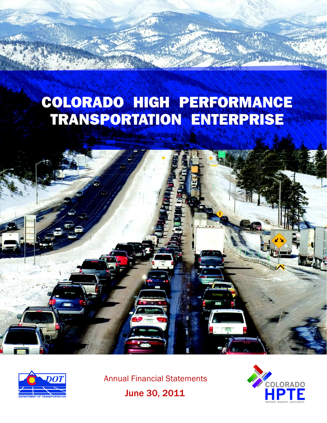# COLORADO HIGH PERFORMANCE TRANSPORTATION ENTERPRISE





Annual Financial Statements



June 30, 2011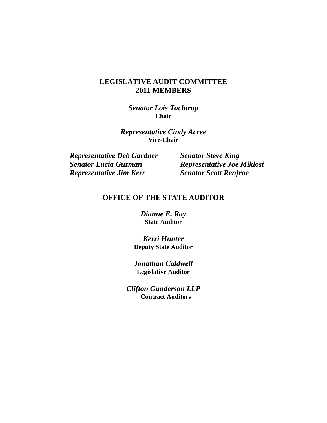### **LEGISLATIVE AUDIT COMMITTEE 2011 MEMBERS**

*Senator Lois Tochtrop*  **Chair** 

*Representative Cindy Acree* **Vice-Chair** 

*Representative Deb Gardner Senator Steve King Senator Lucia Guzman Representative Joe Miklosi Representative Jim Kerr Senator Scott Renfroe* 

### **OFFICE OF THE STATE AUDITOR**

*Dianne E. Ray*  **State Auditor** 

*Kerri Hunter*  **Deputy State Auditor** 

*Jonathan Caldwell*  **Legislative Auditor** 

*Clifton Gunderson LLP*  **Contract Auditors**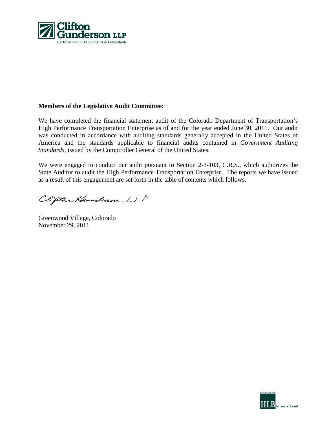

#### **Members of the Legislative Audit Committee:**

We have completed the financial statement audit of the Colorado Department of Transportation's High Performance Transportation Enterprise as of and for the year ended June 30, 2011. Our audit was conducted in accordance with auditing standards generally accepted in the United States of America and the standards applicable to financial audits contained in *Government Auditing Standards*, issued by the Comptroller General of the United States.

We were engaged to conduct our audit pursuant to Section 2-3-103, C.R.S., which authorizes the State Auditor to audit the High Performance Transportation Enterprise. The reports we have issued as a result of this engagement are set forth in the table of contents which follows.

Clifton Hunderson LLP

Greenwood Village, Colorado November 29, 2011

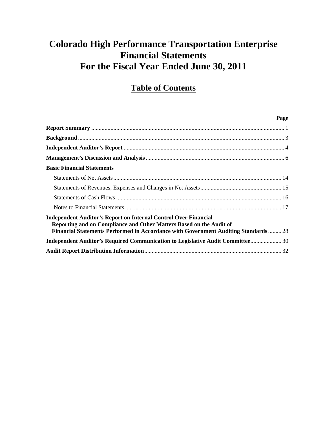# **Table of Contents**

| Page                                                                                                                                                                                                                                        |
|---------------------------------------------------------------------------------------------------------------------------------------------------------------------------------------------------------------------------------------------|
|                                                                                                                                                                                                                                             |
|                                                                                                                                                                                                                                             |
|                                                                                                                                                                                                                                             |
|                                                                                                                                                                                                                                             |
| <b>Basic Financial Statements</b>                                                                                                                                                                                                           |
|                                                                                                                                                                                                                                             |
|                                                                                                                                                                                                                                             |
|                                                                                                                                                                                                                                             |
|                                                                                                                                                                                                                                             |
| <b>Independent Auditor's Report on Internal Control Over Financial</b><br>Reporting and on Compliance and Other Matters Based on the Audit of<br><b>Financial Statements Performed in Accordance with Government Auditing Standards  28</b> |
| Independent Auditor's Required Communication to Legislative Audit Committee 30                                                                                                                                                              |
|                                                                                                                                                                                                                                             |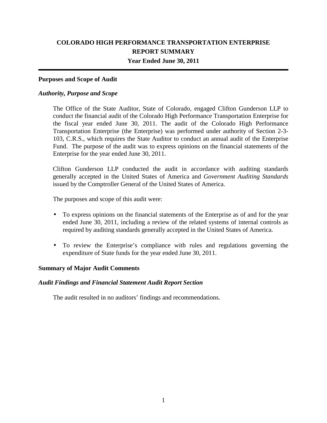### **COLORADO HIGH PERFORMANCE TRANSPORTATION ENTERPRISE REPORT SUMMARY Year Ended June 30, 2011**

#### **Purposes and Scope of Audit**

#### *Authority, Purpose and Scope*

The Office of the State Auditor, State of Colorado, engaged Clifton Gunderson LLP to conduct the financial audit of the Colorado High Performance Transportation Enterprise for the fiscal year ended June 30, 2011. The audit of the Colorado High Performance Transportation Enterprise (the Enterprise) was performed under authority of Section 2-3- 103, C.R.S., which requires the State Auditor to conduct an annual audit of the Enterprise Fund. The purpose of the audit was to express opinions on the financial statements of the Enterprise for the year ended June 30, 2011.

Clifton Gunderson LLP conducted the audit in accordance with auditing standards generally accepted in the United States of America and *Government Auditing Standards* issued by the Comptroller General of the United States of America.

The purposes and scope of this audit were:

- To express opinions on the financial statements of the Enterprise as of and for the year ended June 30, 2011, including a review of the related systems of internal controls as required by auditing standards generally accepted in the United States of America.
- To review the Enterprise's compliance with rules and regulations governing the expenditure of State funds for the year ended June 30, 2011.

#### **Summary of Major Audit Comments**

#### *Audit Findings and Financial Statement Audit Report Section*

The audit resulted in no auditors' findings and recommendations.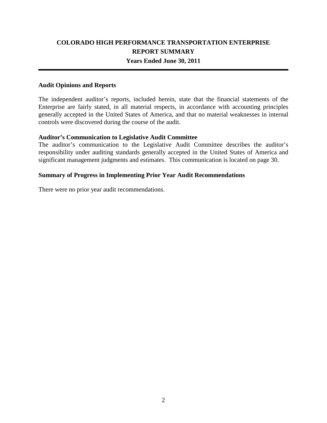### **COLORADO HIGH PERFORMANCE TRANSPORTATION ENTERPRISE REPORT SUMMARY Years Ended June 30, 2011**

#### **Audit Opinions and Reports**

The independent auditor's reports, included herein, state that the financial statements of the Enterprise are fairly stated, in all material respects, in accordance with accounting principles generally accepted in the United States of America, and that no material weaknesses in internal controls were discovered during the course of the audit.

#### **Auditor's Communication to Legislative Audit Committee**

The auditor's communication to the Legislative Audit Committee describes the auditor's responsibility under auditing standards generally accepted in the United States of America and significant management judgments and estimates. This communication is located on page 30.

#### **Summary of Progress in Implementing Prior Year Audit Recommendations**

There were no prior year audit recommendations.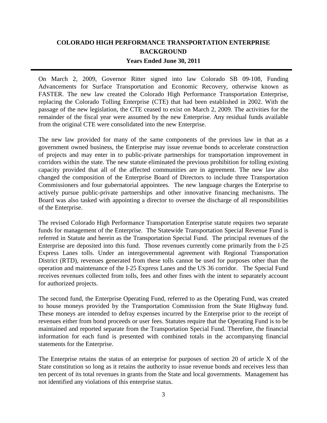### **COLORADO HIGH PERFORMANCE TRANSPORTATION ENTERPRISE BACKGROUND Years Ended June 30, 2011**

On March 2, 2009, Governor Ritter signed into law Colorado SB 09‐108, Funding Advancements for Surface Transportation and Economic Recovery, otherwise known as FASTER. The new law created the Colorado High Performance Transportation Enterprise, replacing the Colorado Tolling Enterprise (CTE) that had been established in 2002. With the passage of the new legislation, the CTE ceased to exist on March 2, 2009. The activities for the remainder of the fiscal year were assumed by the new Enterprise. Any residual funds available from the original CTE were consolidated into the new Enterprise.

The new law provided for many of the same components of the previous law in that as a government owned business, the Enterprise may issue revenue bonds to accelerate construction of projects and may enter in to public-private partnerships for transportation improvement in corridors within the state. The new statute eliminated the previous prohibition for tolling existing capacity provided that all of the affected communities are in agreement. The new law also changed the composition of the Enterprise Board of Directors to include three Transportation Commissioners and four gubernatorial appointees. The new language charges the Enterprise to actively pursue public-private partnerships and other innovative financing mechanisms. The Board was also tasked with appointing a director to oversee the discharge of all responsibilities of the Enterprise.

The revised Colorado High Performance Transportation Enterprise statute requires two separate funds for management of the Enterprise. The Statewide Transportation Special Revenue Fund is referred in Statute and herein as the Transportation Special Fund. The principal revenues of the Enterprise are deposited into this fund. Those revenues currently come primarily from the I‐25 Express Lanes tolls. Under an intergovernmental agreement with Regional Transportation District (RTD), revenues generated from these tolls cannot be used for purposes other than the operation and maintenance of the I‐25 Express Lanes and the US 36 corridor. The Special Fund receives revenues collected from tolls, fees and other fines with the intent to separately account for authorized projects.

The second fund, the Enterprise Operating Fund, referred to as the Operating Fund, was created to house moneys provided by the Transportation Commission from the State Highway fund. These moneys are intended to defray expenses incurred by the Enterprise prior to the receipt of revenues either from bond proceeds or user fees. Statutes require that the Operating Fund is to be maintained and reported separate from the Transportation Special Fund. Therefore, the financial information for each fund is presented with combined totals in the accompanying financial statements for the Enterprise.

The Enterprise retains the status of an enterprise for purposes of section 20 of article X of the State constitution so long as it retains the authority to issue revenue bonds and receives less than ten percent of its total revenues in grants from the State and local governments. Management has not identified any violations of this enterprise status.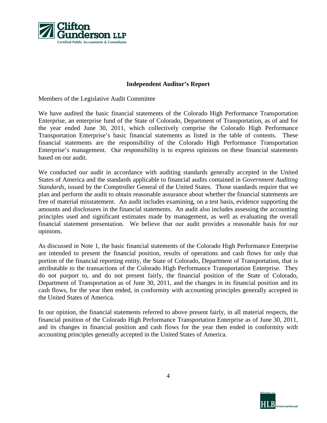

#### **Independent Auditor's Report**

Members of the Legislative Audit Committee

We have audited the basic financial statements of the Colorado High Performance Transportation Enterprise, an enterprise fund of the State of Colorado, Department of Transportation, as of and for the year ended June 30, 2011, which collectively comprise the Colorado High Performance Transportation Enterprise's basic financial statements as listed in the table of contents. These financial statements are the responsibility of the Colorado High Performance Transportation Enterprise's management. Our responsibility is to express opinions on these financial statements based on our audit.

We conducted our audit in accordance with auditing standards generally accepted in the United States of America and the standards applicable to financial audits contained in *Government Auditing Standards*, issued by the Comptroller General of the United States. Those standards require that we plan and perform the audit to obtain reasonable assurance about whether the financial statements are free of material misstatement. An audit includes examining, on a test basis, evidence supporting the amounts and disclosures in the financial statements. An audit also includes assessing the accounting principles used and significant estimates made by management, as well as evaluating the overall financial statement presentation. We believe that our audit provides a reasonable basis for our opinions.

As discussed in Note 1, the basic financial statements of the Colorado High Performance Enterprise are intended to present the financial position, results of operations and cash flows for only that portion of the financial reporting entity, the State of Colorado, Department of Transportation, that is attributable to the transactions of the Colorado High Performance Transportation Enterprise. They do not purport to, and do not present fairly, the financial position of the State of Colorado, Department of Transportation as of June 30, 2011, and the changes in its financial position and its cash flows, for the year then ended, in conformity with accounting principles generally accepted in the United States of America.

In our opinion, the financial statements referred to above present fairly, in all material respects, the financial position of the Colorado High Performance Transportation Enterprise as of June 30, 2011, and its changes in financial position and cash flows for the year then ended in conformity with accounting principles generally accepted in the United States of America.

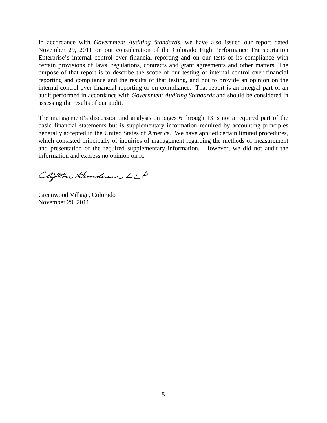In accordance with *Government Auditing Standards*, we have also issued our report dated November 29, 2011 on our consideration of the Colorado High Performance Transportation Enterprise's internal control over financial reporting and on our tests of its compliance with certain provisions of laws, regulations, contracts and grant agreements and other matters. The purpose of that report is to describe the scope of our testing of internal control over financial reporting and compliance and the results of that testing, and not to provide an opinion on the internal control over financial reporting or on compliance. That report is an integral part of an audit performed in accordance with *Government Auditing Standards* and should be considered in assessing the results of our audit.

The management's discussion and analysis on pages 6 through 13 is not a required part of the basic financial statements but is supplementary information required by accounting principles generally accepted in the United States of America. We have applied certain limited procedures, which consisted principally of inquiries of management regarding the methods of measurement and presentation of the required supplementary information. However, we did not audit the information and express no opinion on it.

Clifton Hunderson LLP

Greenwood Village, Colorado November 29, 2011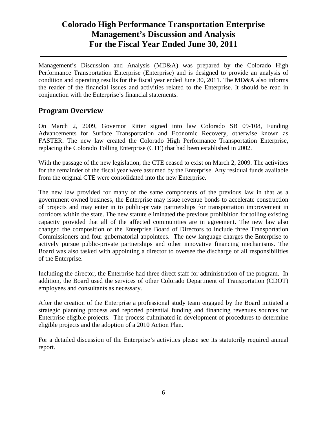Management's Discussion and Analysis (MD&A) was prepared by the Colorado High Performance Transportation Enterprise (Enterprise) and is designed to provide an analysis of condition and operating results for the fiscal year ended June 30, 2011. The MD&A also informs the reader of the financial issues and activities related to the Enterprise. It should be read in conjunction with the Enterprise's financial statements.

### **Program Overview**

On March 2, 2009, Governor Ritter signed into law Colorado SB 09‐108, Funding Advancements for Surface Transportation and Economic Recovery, otherwise known as FASTER. The new law created the Colorado High Performance Transportation Enterprise, replacing the Colorado Tolling Enterprise (CTE) that had been established in 2002.

With the passage of the new legislation, the CTE ceased to exist on March 2, 2009. The activities for the remainder of the fiscal year were assumed by the Enterprise. Any residual funds available from the original CTE were consolidated into the new Enterprise.

The new law provided for many of the same components of the previous law in that as a government owned business, the Enterprise may issue revenue bonds to accelerate construction of projects and may enter in to public-private partnerships for transportation improvement in corridors within the state. The new statute eliminated the previous prohibition for tolling existing capacity provided that all of the affected communities are in agreement. The new law also changed the composition of the Enterprise Board of Directors to include three Transportation Commissioners and four gubernatorial appointees. The new language charges the Enterprise to actively pursue public-private partnerships and other innovative financing mechanisms. The Board was also tasked with appointing a director to oversee the discharge of all responsibilities of the Enterprise.

Including the director, the Enterprise had three direct staff for administration of the program. In addition, the Board used the services of other Colorado Department of Transportation (CDOT) employees and consultants as necessary.

After the creation of the Enterprise a professional study team engaged by the Board initiated a strategic planning process and reported potential funding and financing revenues sources for Enterprise eligible projects. The process culminated in development of procedures to determine eligible projects and the adoption of a 2010 Action Plan.

For a detailed discussion of the Enterprise's activities please see its statutorily required annual report.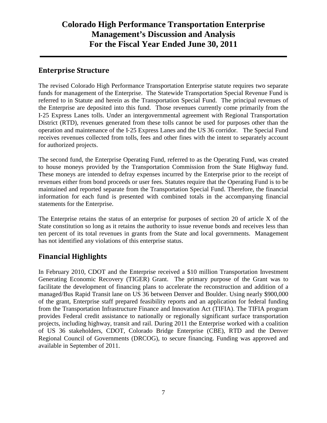### **Enterprise Structure**

The revised Colorado High Performance Transportation Enterprise statute requires two separate funds for management of the Enterprise. The Statewide Transportation Special Revenue Fund is referred to in Statute and herein as the Transportation Special Fund. The principal revenues of the Enterprise are deposited into this fund. Those revenues currently come primarily from the I‐25 Express Lanes tolls. Under an intergovernmental agreement with Regional Transportation District (RTD), revenues generated from these tolls cannot be used for purposes other than the operation and maintenance of the I‐25 Express Lanes and the US 36 corridor. The Special Fund receives revenues collected from tolls, fees and other fines with the intent to separately account for authorized projects.

The second fund, the Enterprise Operating Fund, referred to as the Operating Fund, was created to house moneys provided by the Transportation Commission from the State Highway fund. These moneys are intended to defray expenses incurred by the Enterprise prior to the receipt of revenues either from bond proceeds or user fees. Statutes require that the Operating Fund is to be maintained and reported separate from the Transportation Special Fund. Therefore, the financial information for each fund is presented with combined totals in the accompanying financial statements for the Enterprise.

The Enterprise retains the status of an enterprise for purposes of section 20 of article X of the State constitution so long as it retains the authority to issue revenue bonds and receives less than ten percent of its total revenues in grants from the State and local governments. Management has not identified any violations of this enterprise status.

### **Financial Highlights**

In February 2010, CDOT and the Enterprise received a \$10 million Transportation Investment Generating Economic Recovery (TIGER) Grant. The primary purpose of the Grant was to facilitate the development of financing plans to accelerate the reconstruction and addition of a managed/Bus Rapid Transit lane on US 36 between Denver and Boulder. Using nearly \$900,000 of the grant, Enterprise staff prepared feasibility reports and an application for federal funding from the Transportation Infrastructure Finance and Innovation Act (TIFIA). The TIFIA program provides Federal credit assistance to nationally or regionally significant surface transportation projects, including highway, transit and rail. During 2011 the Enterprise worked with a coalition of US 36 stakeholders, CDOT, Colorado Bridge Enterprise (CBE), RTD and the Denver Regional Council of Governments (DRCOG), to secure financing. Funding was approved and available in September of 2011.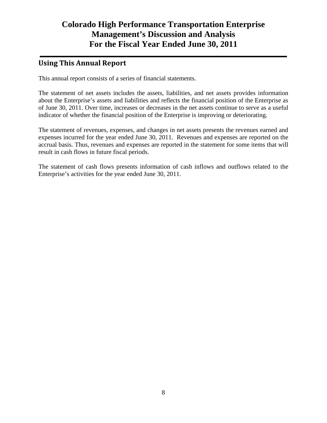### **Using This Annual Report**

This annual report consists of a series of financial statements.

The statement of net assets includes the assets, liabilities, and net assets provides information about the Enterprise's assets and liabilities and reflects the financial position of the Enterprise as of June 30, 2011. Over time, increases or decreases in the net assets continue to serve as a useful indicator of whether the financial position of the Enterprise is improving or deteriorating.

The statement of revenues, expenses, and changes in net assets presents the revenues earned and expenses incurred for the year ended June 30, 2011. Revenues and expenses are reported on the accrual basis. Thus, revenues and expenses are reported in the statement for some items that will result in cash flows in future fiscal periods.

The statement of cash flows presents information of cash inflows and outflows related to the Enterprise's activities for the year ended June 30, 2011.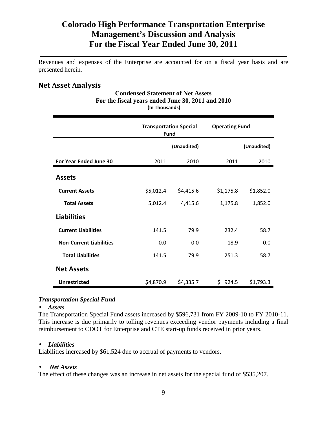Revenues and expenses of the Enterprise are accounted for on a fiscal year basis and are presented herein.

### **Net Asset Analysis**

| liii Tiivusalius)              |                                              |             |                       |             |  |
|--------------------------------|----------------------------------------------|-------------|-----------------------|-------------|--|
|                                | <b>Transportation Special</b><br><b>Fund</b> |             | <b>Operating Fund</b> |             |  |
|                                |                                              | (Unaudited) |                       | (Unaudited) |  |
| For Year Ended June 30         | 2011                                         | 2010        | 2011                  | 2010        |  |
| <b>Assets</b>                  |                                              |             |                       |             |  |
| <b>Current Assets</b>          | \$5,012.4                                    | \$4,415.6   | \$1,175.8             | \$1,852.0   |  |
| <b>Total Assets</b>            | 5,012.4                                      | 4,415.6     | 1,175.8               | 1,852.0     |  |
| <b>Liabilities</b>             |                                              |             |                       |             |  |
| <b>Current Liabilities</b>     | 141.5                                        | 79.9        | 232.4                 | 58.7        |  |
| <b>Non-Current Liabilities</b> | 0.0                                          | 0.0         | 18.9                  | 0.0         |  |
| <b>Total Liabilities</b>       | 141.5                                        | 79.9        | 251.3                 | 58.7        |  |
| <b>Net Assets</b>              |                                              |             |                       |             |  |
| <b>Unrestricted</b>            | \$4,870.9                                    | \$4,335.7   | \$924.5               | \$1,793.3   |  |

#### **Condensed Statement of Net Assets For the fiscal years ended June 30, 2011 and 2010 (In Thousands)**

#### *Transportation Special Fund*

#### • *Assets*

The Transportation Special Fund assets increased by \$596,731 from FY 2009-10 to FY 2010-11. This increase is due primarily to tolling revenues exceeding vendor payments including a final reimbursement to CDOT for Enterprise and CTE start-up funds received in prior years.

#### • *Liabilities*

Liabilities increased by \$61,524 due to accrual of payments to vendors.

#### • *Net Assets*

The effect of these changes was an increase in net assets for the special fund of \$535,207.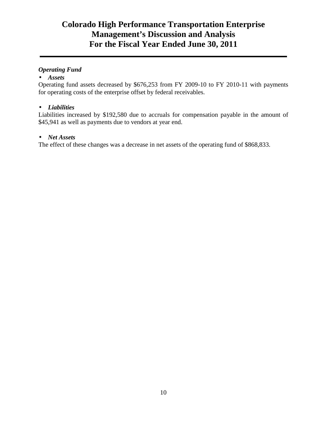#### *Operating Fund*

#### • *Assets*

Operating fund assets decreased by \$676,253 from FY 2009-10 to FY 2010-11 with payments for operating costs of the enterprise offset by federal receivables.

#### • *Liabilities*

Liabilities increased by \$192,580 due to accruals for compensation payable in the amount of \$45,941 as well as payments due to vendors at year end.

#### • *Net Assets*

The effect of these changes was a decrease in net assets of the operating fund of \$868,833.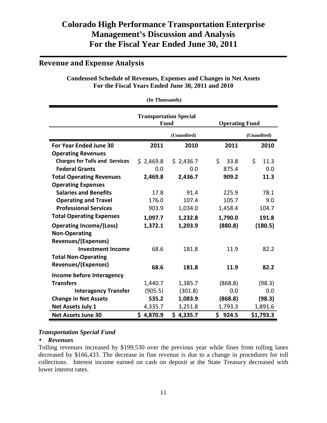### **Revenue and Expense Analysis**

#### **Condensed Schedule of Revenues, Expenses and Changes in Net Assets For the Fiscal Years Ended June 30, 2011 and 2010**

**(In Thousands) Transportation Special Fund Operating Fund (Unaudited) (Unaudited) For Year Ended June 30 2011 2010 2011 2010 Operating Revenues Charges for Tolls and Services**  $\begin{array}{cccc} 2,469.8 & 5,2436.7 & 5,33.8 & 5,11.3 \end{array}$  **Federal Grants** 0.0 0.0 875.4 0.0 **Total Operating Revenues 2,469.8 2,436.7 909.2 11.3 Operating Expenses Salaries and Benefits** 17.8 91.4 225.9 78.1 **Operating and Travel**  176.0 107.4 105.7 9.0 **Professional Services** 003.9 1,034.0 1,458.4 104.7 **Total Operating Expenses 1,097.7 1,232.8 1,790.0 191.8 Operating Income/(Loss) 1,372.1 1,203.9 (880.8) (180.5) Non-Operating Revenues/(Expenses) Investment Income**  $68.6$  181.8 11.9 82.2 **Total Non-Operating Revenues/(Expenses) 68.6 181.8 11.9 82.2 Income before Interagency Transfers** 1,440.7 1,385.7 (868.8) (98.3) **Interagency Transfer** (905.5) (301.8) 0.0 0.0 **Change in Net Assets 535.2 1,083.9 (868.8) (98.3) Net Assets July 1 11 11 12 1,335.7 1,251.8 1,793.3 1,891.6 Net Assets June 30 \$ 4,870.9 \$ 4,335.7 \$ 924.5 \$1,793.3** 

#### *Transportation Special Fund*

#### • *Revenues*

Tolling revenues increased by \$199,530 over the previous year while fines from tolling lanes decreased by \$166,433. The decrease in fine revenue is due to a change in procedures for toll collections. Interest income earned on cash on deposit at the State Treasury decreased with lower interest rates.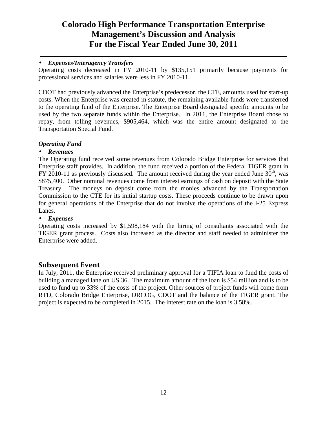#### • *Expenses/Interagency Transfers*

Operating costs decreased in FY 2010-11 by \$135,151 primarily because payments for professional services and salaries were less in FY 2010-11.

CDOT had previously advanced the Enterprise's predecessor, the CTE, amounts used for start-up costs. When the Enterprise was created in statute, the remaining available funds were transferred to the operating fund of the Enterprise. The Enterprise Board designated specific amounts to be used by the two separate funds within the Enterprise. In 2011, the Enterprise Board chose to repay, from tolling revenues, \$905,464, which was the entire amount designated to the Transportation Special Fund.

#### *Operating Fund*

#### • *Revenues*

The Operating fund received some revenues from Colorado Bridge Enterprise for services that Enterprise staff provides. In addition, the fund received a portion of the Federal TIGER grant in FY 2010-11 as previously discussed. The amount received during the year ended June  $30<sup>th</sup>$ , was \$875,400. Other nominal revenues come from interest earnings of cash on deposit with the State Treasury. The moneys on deposit come from the monies advanced by the Transportation Commission to the CTE for its initial startup costs. These proceeds continue to be drawn upon for general operations of the Enterprise that do not involve the operations of the I‐25 Express Lanes.

#### • *Expenses*

Operating costs increased by \$1,598,184 with the hiring of consultants associated with the TIGER grant process. Costs also increased as the director and staff needed to administer the Enterprise were added.

### **Subsequent Event**

In July, 2011, the Enterprise received preliminary approval for a TIFIA loan to fund the costs of building a managed lane on US 36. The maximum amount of the loan is \$54 million and is to be used to fund up to 33% of the costs of the project. Other sources of project funds will come from RTD, Colorado Bridge Enterprise, DRCOG, CDOT and the balance of the TIGER grant. The project is expected to be completed in 2015. The interest rate on the loan is 3.58%.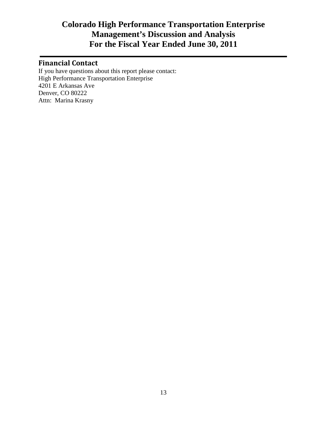### **Financial Contact**

If you have questions about this report please contact: High Performance Transportation Enterprise 4201 E Arkansas Ave Denver, CO 80222 Attn: Marina Krasny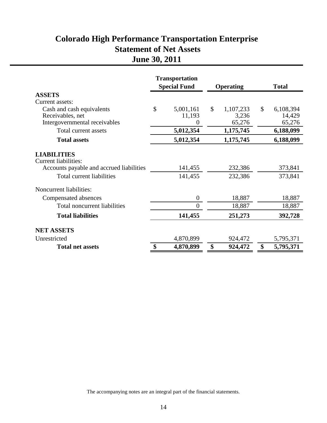# **Colorado High Performance Transportation Enterprise Statement of Net Assets June 30, 2011**

|                                                                                               | <b>Transportation</b><br><b>Special Fund</b> |                          | <b>Operating</b> |                 | <b>Total</b>     |
|-----------------------------------------------------------------------------------------------|----------------------------------------------|--------------------------|------------------|-----------------|------------------|
| <b>ASSETS</b>                                                                                 |                                              |                          |                  |                 |                  |
| Current assets:                                                                               |                                              |                          |                  |                 |                  |
| Cash and cash equivalents                                                                     | \$                                           | 5,001,161                | $\mathcal{S}$    | 1,107,233       | \$<br>6,108,394  |
| Receivables, net<br>Intergovernmental receivables                                             |                                              | 11,193<br>$\overline{0}$ |                  | 3,236<br>65,276 | 14,429<br>65,276 |
| Total current assets                                                                          |                                              | 5,012,354                |                  | 1,175,745       | 6,188,099        |
| <b>Total assets</b>                                                                           |                                              | 5,012,354                |                  | 1,175,745       | 6,188,099        |
| <b>LIABILITIES</b><br><b>Current liabilities:</b><br>Accounts payable and accrued liabilities |                                              | 141,455                  |                  | 232,386         | 373,841          |
| Total current liabilities                                                                     |                                              | 141,455                  |                  | 232,386         | 373,841          |
| <b>Noncurrent liabilities:</b>                                                                |                                              |                          |                  |                 |                  |
| Compensated absences                                                                          |                                              | $\boldsymbol{0}$         |                  | 18,887          | 18,887           |
| Total noncurrent liabilities                                                                  |                                              | $\overline{0}$           |                  | 18,887          | 18,887           |
| <b>Total liabilities</b>                                                                      |                                              | 141,455                  |                  | 251,273         | 392,728          |
| <b>NET ASSETS</b>                                                                             |                                              |                          |                  |                 |                  |
| Unrestricted                                                                                  |                                              | 4,870,899                |                  | 924,472         | 5,795,371        |
| <b>Total net assets</b>                                                                       | \$                                           | 4,870,899                | \$               | 924,472         | \$<br>5,795,371  |

The accompanying notes are an integral part of the financial statements.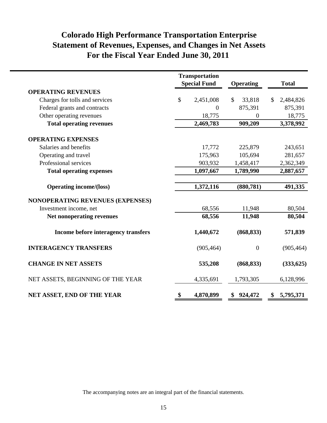# **Colorado High Performance Transportation Enterprise Statement of Revenues, Expenses, and Changes in Net Assets For the Fiscal Year Ended June 30, 2011**

|                                         | <b>Transportation</b><br><b>Special Fund</b> | Operating              | <b>Total</b>    |
|-----------------------------------------|----------------------------------------------|------------------------|-----------------|
| <b>OPERATING REVENUES</b>               |                                              |                        |                 |
| Charges for tolls and services          | \$<br>2,451,008                              | $\mathbb{S}$<br>33,818 | 2,484,826<br>\$ |
| Federal grants and contracts            | $\boldsymbol{0}$                             | 875,391                | 875,391         |
| Other operating revenues                | 18,775                                       | $\Omega$               | 18,775          |
| <b>Total operating revenues</b>         | 2,469,783                                    | 909,209                | 3,378,992       |
| <b>OPERATING EXPENSES</b>               |                                              |                        |                 |
| Salaries and benefits                   | 17,772                                       | 225,879                | 243,651         |
| Operating and travel                    | 175,963                                      | 105,694                | 281,657         |
| Professional services                   | 903,932                                      | 1,458,417              | 2,362,349       |
| <b>Total operating expenses</b>         | 1,097,667                                    | 1,789,990              | 2,887,657       |
| <b>Operating income/(loss)</b>          | 1,372,116                                    | (880, 781)             | 491,335         |
| <b>NONOPERATING REVENUES (EXPENSES)</b> |                                              |                        |                 |
| Investment income, net                  | 68,556                                       | 11,948                 | 80,504          |
| Net nonoperating revenues               | 68,556                                       | 11,948                 | 80,504          |
| Income before interagency transfers     | 1,440,672                                    | (868, 833)             | 571,839         |
| <b>INTERAGENCY TRANSFERS</b>            | (905, 464)                                   | $\overline{0}$         | (905, 464)      |
| <b>CHANGE IN NET ASSETS</b>             | 535,208                                      | (868, 833)             | (333,625)       |
| NET ASSETS, BEGINNING OF THE YEAR       | 4,335,691                                    | 1,793,305              | 6,128,996       |
| NET ASSET, END OF THE YEAR              | \$<br>4,870,899                              | \$924,472              | 5,795,371<br>\$ |

The accompanying notes are an integral part of the financial statements.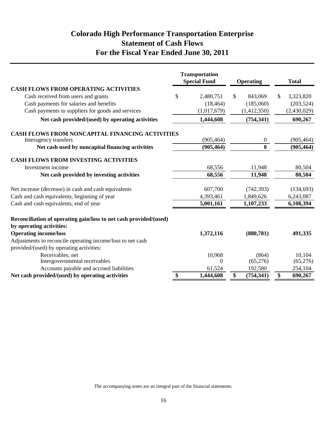### **Colorado High Performance Transportation Enterprise Statement of Cash Flows For the Fiscal Year Ended June 30, 2011**

|                                                                                               |                           | <b>Transportation</b><br><b>Special Fund</b> | <b>Operating</b> |              | <b>Total</b> |
|-----------------------------------------------------------------------------------------------|---------------------------|----------------------------------------------|------------------|--------------|--------------|
| <b>CASH FLOWS FROM OPERATING ACTIVITIES</b>                                                   |                           |                                              |                  |              |              |
| Cash received from users and grants                                                           | \$                        | 2,480,751                                    | \$<br>843,069    | $\mathbb{S}$ | 3,323,820    |
| Cash payments for salaries and benefits                                                       |                           | (18, 464)                                    | (185,060)        |              | (203, 524)   |
| Cash payments to suppliers for goods and services                                             |                           | (1,017,679)                                  | (1,412,350)      |              | (2,430,029)  |
| Net cash provided/(used) by operating activities                                              |                           | 1,444,608                                    | (754, 341)       |              | 690,267      |
| <b>CASH FLOWS FROM NONCAPITAL FINANCING ACTIVITIES</b>                                        |                           |                                              |                  |              |              |
| Interagency transfers                                                                         |                           | (905, 464)                                   | 0                |              | (905, 464)   |
| Net cash used by noncapital financing activities                                              |                           | (905, 464)                                   | $\mathbf{0}$     |              | (905, 464)   |
| <b>CASH FLOWS FROM INVESTING ACTIVITIES</b>                                                   |                           |                                              |                  |              |              |
| Investment income                                                                             |                           | 68,556                                       | 11,948           |              | 80,504       |
| Net cash provided by investing activities                                                     |                           | 68,556                                       | 11,948           |              | 80,504       |
| Net increase (decrease) in cash and cash equivalents                                          |                           | 607,700                                      | (742, 393)       |              | (134, 693)   |
| Cash and cash equivalents, beginning of year                                                  |                           | 4,393,461                                    | 1,849,626        |              | 6,243,087    |
| Cash and cash equivalents, end of year                                                        |                           | 5,001,161                                    | 1,107,233        |              | 6,108,394    |
| Reconciliation of operating gain/loss to net cash provided/(used)<br>by operating activities: |                           |                                              |                  |              |              |
| <b>Operating income/loss</b>                                                                  |                           | 1,372,116                                    | (880, 781)       |              | 491,335      |
| Adjustments to reconcile operating income/loss to net cash                                    |                           |                                              |                  |              |              |
| provided/(used) by operating activities:                                                      |                           |                                              |                  |              |              |
| Receivables, net                                                                              |                           | 10,968                                       | (864)            |              | 10,104       |
| Intergovernmental receivables                                                                 |                           | $\Omega$                                     | (65,276)         |              | (65,276)     |
| Accounts payable and accrued liabilities                                                      |                           | 61,524                                       | 192,580          |              | 254,104      |
| Net cash provided/(used) by operating activities                                              | $\boldsymbol{\mathsf{S}}$ | 1,444,608                                    | \$<br>(754, 341) | \$           | 690,267      |

The accompanying notes are an integral part of the financial statements.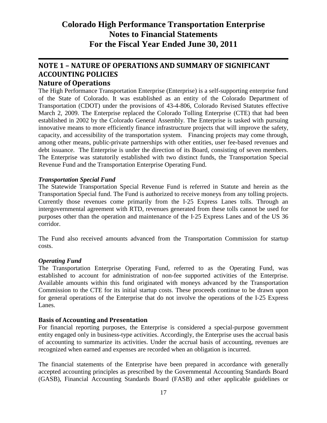# **NOTE 1 – NATURE OF OPERATIONS AND SUMMARY OF SIGNIFICANT ACCOUNTING POLICIES**

### **Nature of Operations**

The High Performance Transportation Enterprise (Enterprise) is a self-supporting enterprise fund of the State of Colorado. It was established as an entity of the Colorado Department of Transportation (CDOT) under the provisions of 43-4-806, Colorado Revised Statutes effective March 2, 2009. The Enterprise replaced the Colorado Tolling Enterprise (CTE) that had been established in 2002 by the Colorado General Assembly. The Enterprise is tasked with pursuing innovative means to more efficiently finance infrastructure projects that will improve the safety, capacity, and accessibility of the transportation system. Financing projects may come through, among other means, public-private partnerships with other entities, user fee-based revenues and debt issuance. The Enterprise is under the direction of its Board, consisting of seven members. The Enterprise was statutorily established with two distinct funds, the Transportation Special Revenue Fund and the Transportation Enterprise Operating Fund.

#### *Transportation Special Fund*

The Statewide Transportation Special Revenue Fund is referred in Statute and herein as the Transportation Special fund. The Fund is authorized to receive moneys from any tolling projects. Currently those revenues come primarily from the I‐25 Express Lanes tolls. Through an intergovernmental agreement with RTD, revenues generated from these tolls cannot be used for purposes other than the operation and maintenance of the I‐25 Express Lanes and of the US 36 corridor.

The Fund also received amounts advanced from the Transportation Commission for startup costs.

#### *Operating Fund*

The Transportation Enterprise Operating Fund, referred to as the Operating Fund, was established to account for administration of non-fee supported activities of the Enterprise. Available amounts within this fund originated with moneys advanced by the Transportation Commission to the CTE for its initial startup costs. These proceeds continue to be drawn upon for general operations of the Enterprise that do not involve the operations of the I‐25 Express Lanes.

#### **Basis of Accounting and Presentation**

For financial reporting purposes, the Enterprise is considered a special-purpose government entity engaged only in business-type activities. Accordingly, the Enterprise uses the accrual basis of accounting to summarize its activities. Under the accrual basis of accounting, revenues are recognized when earned and expenses are recorded when an obligation is incurred.

The financial statements of the Enterprise have been prepared in accordance with generally accepted accounting principles as prescribed by the Governmental Accounting Standards Board (GASB), Financial Accounting Standards Board (FASB) and other applicable guidelines or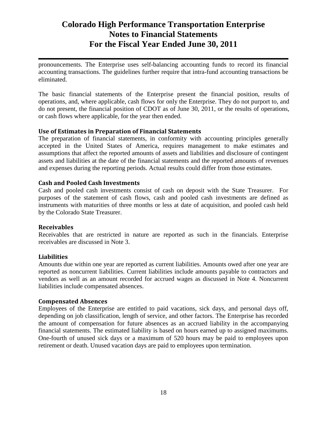pronouncements. The Enterprise uses self-balancing accounting funds to record its financial accounting transactions. The guidelines further require that intra-fund accounting transactions be eliminated.

The basic financial statements of the Enterprise present the financial position, results of operations, and, where applicable, cash flows for only the Enterprise. They do not purport to, and do not present, the financial position of CDOT as of June 30, 2011, or the results of operations, or cash flows where applicable, for the year then ended.

#### **Use of Estimates in Preparation of Financial Statements**

The preparation of financial statements, in conformity with accounting principles generally accepted in the United States of America, requires management to make estimates and assumptions that affect the reported amounts of assets and liabilities and disclosure of contingent assets and liabilities at the date of the financial statements and the reported amounts of revenues and expenses during the reporting periods. Actual results could differ from those estimates.

#### **Cash and Pooled Cash Investments**

Cash and pooled cash investments consist of cash on deposit with the State Treasurer. For purposes of the statement of cash flows, cash and pooled cash investments are defined as instruments with maturities of three months or less at date of acquisition, and pooled cash held by the Colorado State Treasurer.

#### **Receivables**

Receivables that are restricted in nature are reported as such in the financials. Enterprise receivables are discussed in Note 3.

#### **Liabilities**

Amounts due within one year are reported as current liabilities. Amounts owed after one year are reported as noncurrent liabilities. Current liabilities include amounts payable to contractors and vendors as well as an amount recorded for accrued wages as discussed in Note 4. Noncurrent liabilities include compensated absences.

#### **Compensated Absences**

Employees of the Enterprise are entitled to paid vacations, sick days, and personal days off, depending on job classification, length of service, and other factors. The Enterprise has recorded the amount of compensation for future absences as an accrued liability in the accompanying financial statements. The estimated liability is based on hours earned up to assigned maximums. One-fourth of unused sick days or a maximum of 520 hours may be paid to employees upon retirement or death. Unused vacation days are paid to employees upon termination.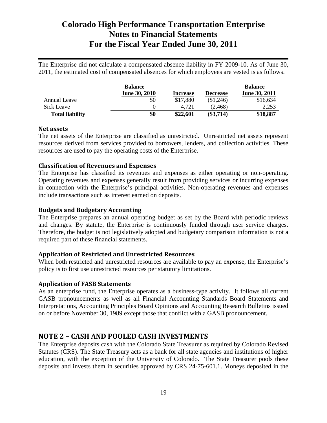The Enterprise did not calculate a compensated absence liability in FY 2009-10. As of June 30, 2011, the estimated cost of compensated absences for which employees are vested is as follows.

|                        | <b>Balance</b>       |                 |                 | <b>Balance</b> |
|------------------------|----------------------|-----------------|-----------------|----------------|
|                        | <b>June 30, 2010</b> | <b>Increase</b> | <b>Decrease</b> | June 30, 2011  |
| Annual Leave           | \$0                  | \$17,880        | (\$1,246)       | \$16,634       |
| Sick Leave             |                      | 4.721           | (2.468)         | 2,253          |
| <b>Total liability</b> | \$0                  | \$22,601        | $(\$3,714)$     | \$18,887       |

#### **Net assets**

The net assets of the Enterprise are classified as unrestricted. Unrestricted net assets represent resources derived from services provided to borrowers, lenders, and collection activities. These resources are used to pay the operating costs of the Enterprise.

#### **Classification of Revenues and Expenses**

The Enterprise has classified its revenues and expenses as either operating or non-operating. Operating revenues and expenses generally result from providing services or incurring expenses in connection with the Enterprise's principal activities. Non-operating revenues and expenses include transactions such as interest earned on deposits.

#### **Budgets and Budgetary Accounting**

The Enterprise prepares an annual operating budget as set by the Board with periodic reviews and changes. By statute, the Enterprise is continuously funded through user service charges. Therefore, the budget is not legislatively adopted and budgetary comparison information is not a required part of these financial statements.

#### **Application of Restricted and Unrestricted Resources**

When both restricted and unrestricted resources are available to pay an expense, the Enterprise's policy is to first use unrestricted resources per statutory limitations.

#### **Application of FASB Statements**

As an enterprise fund, the Enterprise operates as a business-type activity. It follows all current GASB pronouncements as well as all Financial Accounting Standards Board Statements and Interpretations, Accounting Principles Board Opinions and Accounting Research Bulletins issued on or before November 30, 1989 except those that conflict with a GASB pronouncement.

#### **NOTE 2 – CASH AND POOLED CASH INVESTMENTS**

The Enterprise deposits cash with the Colorado State Treasurer as required by Colorado Revised Statutes (CRS). The State Treasury acts as a bank for all state agencies and institutions of higher education, with the exception of the University of Colorado. The State Treasurer pools these deposits and invests them in securities approved by CRS 24-75-601.1. Moneys deposited in the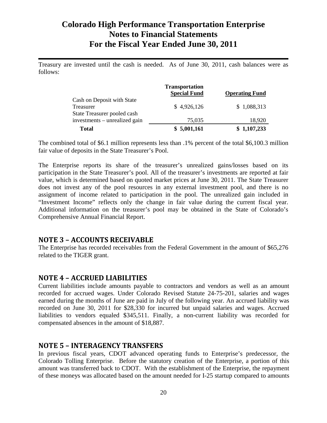Treasury are invested until the cash is needed. As of June 30, 2011, cash balances were as follows:

|                                                                        | <b>Transportation</b><br><b>Special Fund</b> | <b>Operating Fund</b> |
|------------------------------------------------------------------------|----------------------------------------------|-----------------------|
| Cash on Deposit with State<br>Treasurer<br>State Treasurer pooled cash | \$4,926,126                                  | \$1,088,313           |
| investments – unrealized gain                                          | 75,035                                       | 18,920                |
| <b>Total</b>                                                           | \$5,001,161                                  | \$1,107,233           |

The combined total of \$6.1 million represents less than .1% percent of the total \$6,100.3 million fair value of deposits in the State Treasurer's Pool.

The Enterprise reports its share of the treasurer's unrealized gains/losses based on its participation in the State Treasurer's pool. All of the treasurer's investments are reported at fair value, which is determined based on quoted market prices at June 30, 2011. The State Treasurer does not invest any of the pool resources in any external investment pool, and there is no assignment of income related to participation in the pool. The unrealized gain included in "Investment Income" reflects only the change in fair value during the current fiscal year. Additional information on the treasurer's pool may be obtained in the State of Colorado's Comprehensive Annual Financial Report.

#### **NOTE 3 – ACCOUNTS RECEIVABLE**

The Enterprise has recorded receivables from the Federal Government in the amount of \$65,276 related to the TIGER grant.

#### **NOTE 4 – ACCRUED LIABILITIES**

Current liabilities include amounts payable to contractors and vendors as well as an amount recorded for accrued wages. Under Colorado Revised Statute 24-75-201, salaries and wages earned during the months of June are paid in July of the following year. An accrued liability was recorded on June 30, 2011 for \$28,330 for incurred but unpaid salaries and wages. Accrued liabilities to vendors equaled \$345,511. Finally, a non-current liability was recorded for compensated absences in the amount of \$18,887.

#### **NOTE 5 – INTERAGENCY TRANSFERS**

In previous fiscal years, CDOT advanced operating funds to Enterprise's predecessor, the Colorado Tolling Enterprise. Before the statutory creation of the Enterprise, a portion of this amount was transferred back to CDOT. With the establishment of the Enterprise, the repayment of these moneys was allocated based on the amount needed for I-25 startup compared to amounts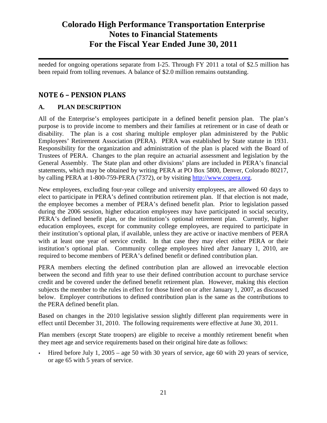needed for ongoing operations separate from I-25. Through FY 2011 a total of \$2.5 million has been repaid from tolling revenues. A balance of \$2.0 million remains outstanding.

### **NOTE 6 – PENSION PLANS**

#### **A. PLAN DESCRIPTION**

All of the Enterprise's employees participate in a defined benefit pension plan. The plan's purpose is to provide income to members and their families at retirement or in case of death or disability. The plan is a cost sharing multiple employer plan administered by the Public Employees' Retirement Association (PERA). PERA was established by State statute in 1931. Responsibility for the organization and administration of the plan is placed with the Board of Trustees of PERA. Changes to the plan require an actuarial assessment and legislation by the General Assembly. The State plan and other divisions' plans are included in PERA's financial statements, which may be obtained by writing PERA at PO Box 5800, Denver, Colorado 80217, by calling PERA at 1-800-759-PERA (7372), or by visiting http://www.copera.org.

New employees, excluding four-year college and university employees, are allowed 60 days to elect to participate in PERA's defined contribution retirement plan. If that election is not made, the employee becomes a member of PERA's defined benefit plan. Prior to legislation passed during the 2006 session, higher education employees may have participated in social security, PERA's defined benefit plan, or the institution's optional retirement plan. Currently, higher education employees, except for community college employees, are required to participate in their institution's optional plan, if available, unless they are active or inactive members of PERA with at least one year of service credit. In that case they may elect either PERA or their institution's optional plan. Community college employees hired after January 1, 2010, are required to become members of PERA's defined benefit or defined contribution plan.

PERA members electing the defined contribution plan are allowed an irrevocable election between the second and fifth year to use their defined contribution account to purchase service credit and be covered under the defined benefit retirement plan. However, making this election subjects the member to the rules in effect for those hired on or after January 1, 2007, as discussed below. Employer contributions to defined contribution plan is the same as the contributions to the PERA defined benefit plan.

Based on changes in the 2010 legislative session slightly different plan requirements were in effect until December 31, 2010. The following requirements were effective at June 30, 2011.

Plan members (except State troopers) are eligible to receive a monthly retirement benefit when they meet age and service requirements based on their original hire date as follows:

 Hired before July 1, 2005 – age 50 with 30 years of service, age 60 with 20 years of service, or age 65 with 5 years of service.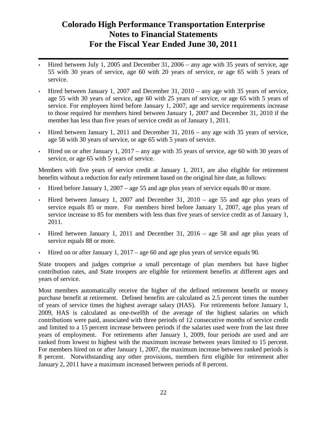- Hired between July 1, 2005 and December 31, 2006 any age with 35 years of service, age 55 with 30 years of service, age 60 with 20 years of service, or age 65 with 5 years of service.
- Hired between January 1, 2007 and December 31, 2010 any age with 35 years of service, age 55 with 30 years of service, age 60 with 25 years of service, or age 65 with 5 years of service. For employees hired before January 1, 2007, age and service requirements increase to those required for members hired between January 1, 2007 and December 31, 2010 if the member has less than five years of service credit as of January 1, 2011.
- Hired between January 1, 2011 and December 31, 2016 any age with 35 years of service, age 58 with 30 years of service, or age 65 with 5 years of service.
- Hired on or after January 1, 2017 any age with 35 years of service, age 60 with 30 years of service, or age 65 with 5 years of service.

Members with five years of service credit at January 1, 2011, are also eligible for retirement benefits without a reduction for early retirement based on the original hire date, as follows:

- Hired before January 1, 2007 age 55 and age plus years of service equals 80 or more.
- Hired between January 1, 2007 and December 31, 2010 age 55 and age plus years of service equals 85 or more. For members hired before January 1, 2007, age plus years of service increase to 85 for members with less than five years of service credit as of January 1, 2011.
- $\cdot$  Hired between January 1, 2011 and December 31, 2016 age 58 and age plus years of service equals 88 or more.
- $\cdot$  Hired on or after January 1, 2017 age 60 and age plus years of service equals 90.

State troopers and judges comprise a small percentage of plan members but have higher contribution rates, and State troopers are eligible for retirement benefits at different ages and years of service.

Most members automatically receive the higher of the defined retirement benefit or money purchase benefit at retirement. Defined benefits are calculated as 2.5 percent times the number of years of service times the highest average salary (HAS). For retirements before January 1, 2009, HAS is calculated as one-twelfth of the average of the highest salaries on which contributions were paid, associated with three periods of 12 consecutive months of service credit and limited to a 15 percent increase between periods if the salaries used were from the last three years of employment. For retirements after January 1, 2009, four periods are used and are ranked from lowest to highest with the maximum increase between years limited to 15 percent. For members hired on or after January 1, 2007, the maximum increase between ranked periods is 8 percent. Notwithstanding any other provisions, members first eligible for retirement after January 2, 2011 have a maximum increased between periods of 8 percent.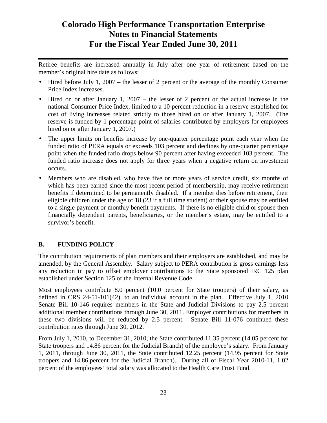Retiree benefits are increased annually in July after one year of retirement based on the member's original hire date as follows:

- Hired before July 1, 2007 the lesser of 2 percent or the average of the monthly Consumer Price Index increases.
- Hired on or after January 1, 2007 the lesser of 2 percent or the actual increase in the national Consumer Price Index, limited to a 10 percent reduction in a reserve established for cost of living increases related strictly to those hired on or after January 1, 2007. (The reserve is funded by 1 percentage point of salaries contributed by employers for employees hired on or after January 1, 2007.
- The upper limits on benefits increase by one-quarter percentage point each year when the funded ratio of PERA equals or exceeds 103 percent and declines by one-quarter percentage point when the funded ratio drops below 90 percent after having exceeded 103 percent. The funded ratio increase does not apply for three years when a negative return on investment occurs.
- Members who are disabled, who have five or more years of service credit, six months of which has been earned since the most recent period of membership, may receive retirement benefits if determined to be permanently disabled. If a member dies before retirement, their eligible children under the age of 18 (23 if a full time student) or their spouse may be entitled to a single payment or monthly benefit payments. If there is no eligible child or spouse then financially dependent parents, beneficiaries, or the member's estate, may be entitled to a survivor's benefit.

### **B. FUNDING POLICY**

The contribution requirements of plan members and their employers are established, and may be amended, by the General Assembly. Salary subject to PERA contribution is gross earnings less any reduction in pay to offset employer contributions to the State sponsored IRC 125 plan established under Section 125 of the Internal Revenue Code.

Most employees contribute 8.0 percent (10.0 percent for State troopers) of their salary, as defined in CRS 24-51-101(42), to an individual account in the plan. Effective July 1, 2010 Senate Bill 10-146 requires members in the State and Judicial Divisions to pay 2.5 percent additional member contributions through June 30, 2011. Employer contributions for members in these two divisions will be reduced by 2.5 percent. Senate Bill 11-076 continued these contribution rates through June 30, 2012.

From July 1, 2010, to December 31, 2010, the State contributed 11.35 percent (14.05 percent for State troopers and 14.86 percent for the Judicial Branch) of the employee's salary. From January 1, 2011, through June 30, 2011, the State contributed 12.25 percent (14.95 percent for State troopers and 14.86 percent for the Judicial Branch). During all of Fiscal Year 2010-11, 1.02 percent of the employees' total salary was allocated to the Health Care Trust Fund.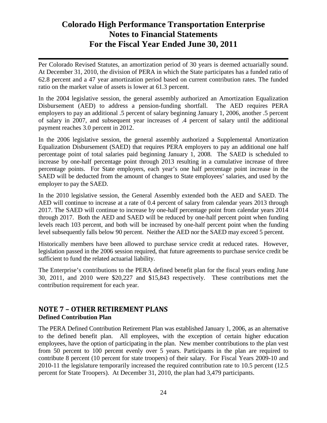Per Colorado Revised Statutes, an amortization period of 30 years is deemed actuarially sound. At December 31, 2010, the division of PERA in which the State participates has a funded ratio of 62.8 percent and a 47 year amortization period based on current contribution rates. The funded ratio on the market value of assets is lower at 61.3 percent.

In the 2004 legislative session, the general assembly authorized an Amortization Equalization Disbursement (AED) to address a pension-funding shortfall. The AED requires PERA employers to pay an additional .5 percent of salary beginning January 1, 2006, another .5 percent of salary in 2007, and subsequent year increases of .4 percent of salary until the additional payment reaches 3.0 percent in 2012.

In the 2006 legislative session, the general assembly authorized a Supplemental Amortization Equalization Disbursement (SAED) that requires PERA employers to pay an additional one half percentage point of total salaries paid beginning January 1, 2008. The SAED is scheduled to increase by one-half percentage point through 2013 resulting in a cumulative increase of three percentage points. For State employers, each year's one half percentage point increase in the SAED will be deducted from the amount of changes to State employees' salaries, and used by the employer to pay the SAED.

In the 2010 legislative session, the General Assembly extended both the AED and SAED. The AED will continue to increase at a rate of 0.4 percent of salary from calendar years 2013 through 2017. The SAED will continue to increase by one-half percentage point from calendar years 2014 through 2017. Both the AED and SAED will be reduced by one-half percent point when funding levels reach 103 percent, and both will be increased by one-half percent point when the funding level subsequently falls below 90 percent. Neither the AED nor the SAED may exceed 5 percent.

Historically members have been allowed to purchase service credit at reduced rates. However, legislation passed in the 2006 session required, that future agreements to purchase service credit be sufficient to fund the related actuarial liability.

The Enterprise's contributions to the PERA defined benefit plan for the fiscal years ending June 30, 2011, and 2010 were \$20,227 and \$15,843 respectively. These contributions met the contribution requirement for each year.

### **NOTE 7 – OTHER RETIREMENT PLANS Defined Contribution Plan**

The PERA Defined Contribution Retirement Plan was established January 1, 2006, as an alternative to the defined benefit plan. All employees, with the exception of certain higher education employees, have the option of participating in the plan. New member contributions to the plan vest from 50 percent to 100 percent evenly over 5 years. Participants in the plan are required to contribute 8 percent (10 percent for state troopers) of their salary. For Fiscal Years 2009-10 and 2010-11 the legislature temporarily increased the required contribution rate to 10.5 percent (12.5 percent for State Troopers). At December 31, 2010, the plan had 3,479 participants.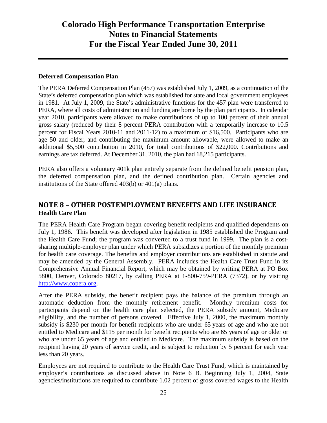#### **Deferred Compensation Plan**

The PERA Deferred Compensation Plan (457) was established July 1, 2009, as a continuation of the State's deferred compensation plan which was established for state and local government employees in 1981. At July 1, 2009, the State's administrative functions for the 457 plan were transferred to PERA, where all costs of administration and funding are borne by the plan participants. In calendar year 2010, participants were allowed to make contributions of up to 100 percent of their annual gross salary (reduced by their 8 percent PERA contribution with a temporarily increase to 10.5 percent for Fiscal Years 2010-11 and 2011-12) to a maximum of \$16,500. Participants who are age 50 and older, and contributing the maximum amount allowable, were allowed to make an additional \$5,500 contribution in 2010, for total contributions of \$22,000. Contributions and earnings are tax deferred. At December 31, 2010, the plan had 18,215 participants.

PERA also offers a voluntary 401k plan entirely separate from the defined benefit pension plan, the deferred compensation plan, and the defined contribution plan. Certain agencies and institutions of the State offered 403(b) or 401(a) plans.

### **NOTE 8 – OTHER POSTEMPLOYMENT BENEFITS AND LIFE INSURANCE Health Care Plan**

The PERA Health Care Program began covering benefit recipients and qualified dependents on July 1, 1986. This benefit was developed after legislation in 1985 established the Program and the Health Care Fund; the program was converted to a trust fund in 1999. The plan is a costsharing multiple-employer plan under which PERA subsidizes a portion of the monthly premium for health care coverage. The benefits and employer contributions are established in statute and may be amended by the General Assembly. PERA includes the Health Care Trust Fund in its Comprehensive Annual Financial Report, which may be obtained by writing PERA at PO Box 5800, Denver, Colorado 80217, by calling PERA at 1-800-759-PERA (7372), or by visiting http://www.copera.org.

After the PERA subsidy, the benefit recipient pays the balance of the premium through an automatic deduction from the monthly retirement benefit. Monthly premium costs for participants depend on the health care plan selected, the PERA subsidy amount, Medicare eligibility, and the number of persons covered. Effective July 1, 2000, the maximum monthly subsidy is \$230 per month for benefit recipients who are under 65 years of age and who are not entitled to Medicare and \$115 per month for benefit recipients who are 65 years of age or older or who are under 65 years of age and entitled to Medicare. The maximum subsidy is based on the recipient having 20 years of service credit, and is subject to reduction by 5 percent for each year less than 20 years.

Employees are not required to contribute to the Health Care Trust Fund, which is maintained by employer's contributions as discussed above in Note 6 B. Beginning July 1, 2004, State agencies/institutions are required to contribute 1.02 percent of gross covered wages to the Health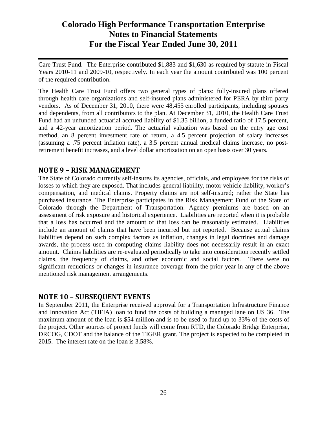Care Trust Fund. The Enterprise contributed \$1,883 and \$1,630 as required by statute in Fiscal Years 2010-11 and 2009-10, respectively. In each year the amount contributed was 100 percent of the required contribution.

The Health Care Trust Fund offers two general types of plans: fully-insured plans offered through health care organizations and self-insured plans administered for PERA by third party vendors. As of December 31, 2010, there were 48,455 enrolled participants, including spouses and dependents, from all contributors to the plan. At December 31, 2010, the Health Care Trust Fund had an unfunded actuarial accrued liability of \$1.35 billion, a funded ratio of 17.5 percent, and a 42-year amortization period. The actuarial valuation was based on the entry age cost method, an 8 percent investment rate of return, a 4.5 percent projection of salary increases (assuming a .75 percent inflation rate), a 3.5 percent annual medical claims increase, no postretirement benefit increases, and a level dollar amortization on an open basis over 30 years.

### **NOTE 9 – RISK MANAGEMENT**

The State of Colorado currently self-insures its agencies, officials, and employees for the risks of losses to which they are exposed. That includes general liability, motor vehicle liability, worker's compensation, and medical claims. Property claims are not self-insured; rather the State has purchased insurance. The Enterprise participates in the Risk Management Fund of the State of Colorado through the Department of Transportation. Agency premiums are based on an assessment of risk exposure and historical experience. Liabilities are reported when it is probable that a loss has occurred and the amount of that loss can be reasonably estimated. Liabilities include an amount of claims that have been incurred but not reported. Because actual claims liabilities depend on such complex factors as inflation, changes in legal doctrines and damage awards, the process used in computing claims liability does not necessarily result in an exact amount. Claims liabilities are re-evaluated periodically to take into consideration recently settled claims, the frequency of claims, and other economic and social factors. There were no significant reductions or changes in insurance coverage from the prior year in any of the above mentioned risk management arrangements.

### **NOTE 10 – SUBSEQUENT EVENTS**

In September 2011, the Enterprise received approval for a Transportation Infrastructure Finance and Innovation Act (TIFIA) loan to fund the costs of building a managed lane on US 36. The maximum amount of the loan is \$54 million and is to be used to fund up to 33% of the costs of the project. Other sources of project funds will come from RTD, the Colorado Bridge Enterprise, DRCOG, CDOT and the balance of the TIGER grant. The project is expected to be completed in 2015. The interest rate on the loan is 3.58%.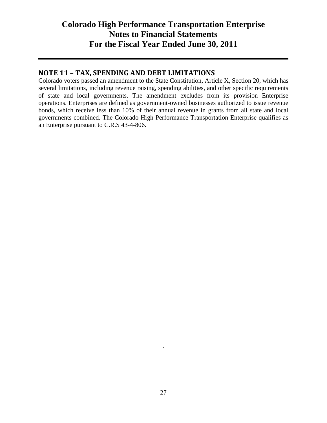### **NOTE 11 – TAX, SPENDING AND DEBT LIMITATIONS**

Colorado voters passed an amendment to the State Constitution, Article X, Section 20, which has several limitations, including revenue raising, spending abilities, and other specific requirements of state and local governments. The amendment excludes from its provision Enterprise operations. Enterprises are defined as government-owned businesses authorized to issue revenue bonds, which receive less than 10% of their annual revenue in grants from all state and local governments combined. The Colorado High Performance Transportation Enterprise qualifies as an Enterprise pursuant to C.R.S 43-4-806.

.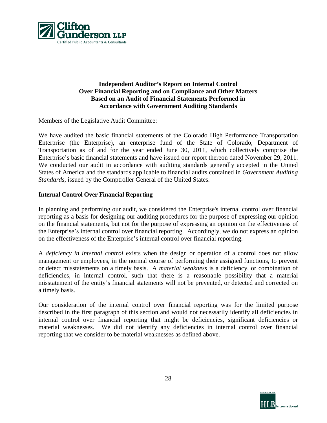

#### **Independent Auditor's Report on Internal Control Over Financial Reporting and on Compliance and Other Matters Based on an Audit of Financial Statements Performed in Accordance with Government Auditing Standards**

Members of the Legislative Audit Committee:

We have audited the basic financial statements of the Colorado High Performance Transportation Enterprise (the Enterprise), an enterprise fund of the State of Colorado, Department of Transportation as of and for the year ended June 30, 2011, which collectively comprise the Enterprise's basic financial statements and have issued our report thereon dated November 29, 2011. We conducted our audit in accordance with auditing standards generally accepted in the United States of America and the standards applicable to financial audits contained in *Government Auditing Standards*, issued by the Comptroller General of the United States.

#### **Internal Control Over Financial Reporting**

In planning and performing our audit, we considered the Enterprise's internal control over financial reporting as a basis for designing our auditing procedures for the purpose of expressing our opinion on the financial statements, but not for the purpose of expressing an opinion on the effectiveness of the Enterprise's internal control over financial reporting. Accordingly, we do not express an opinion on the effectiveness of the Enterprise's internal control over financial reporting.

A *deficiency in internal control* exists when the design or operation of a control does not allow management or employees, in the normal course of performing their assigned functions, to prevent or detect misstatements on a timely basis. A *material weakness* is a deficiency, or combination of deficiencies, in internal control, such that there is a reasonable possibility that a material misstatement of the entity's financial statements will not be prevented, or detected and corrected on a timely basis.

Our consideration of the internal control over financial reporting was for the limited purpose described in the first paragraph of this section and would not necessarily identify all deficiencies in internal control over financial reporting that might be deficiencies, significant deficiencies or material weaknesses. We did not identify any deficiencies in internal control over financial reporting that we consider to be material weaknesses as defined above.

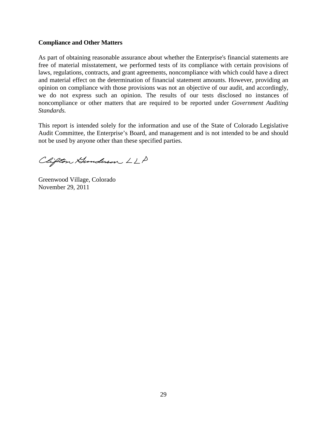#### **Compliance and Other Matters**

As part of obtaining reasonable assurance about whether the Enterprise's financial statements are free of material misstatement, we performed tests of its compliance with certain provisions of laws, regulations, contracts, and grant agreements, noncompliance with which could have a direct and material effect on the determination of financial statement amounts. However, providing an opinion on compliance with those provisions was not an objective of our audit, and accordingly, we do not express such an opinion. The results of our tests disclosed no instances of noncompliance or other matters that are required to be reported under *Government Auditing Standards.*

This report is intended solely for the information and use of the State of Colorado Legislative Audit Committee, the Enterprise's Board, and management and is not intended to be and should not be used by anyone other than these specified parties.

Clifton Hunderson LLP

Greenwood Village, Colorado November 29, 2011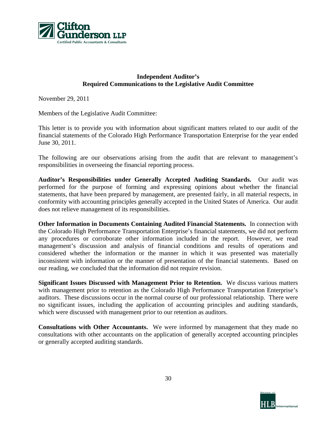

#### **Independent Auditor's Required Communications to the Legislative Audit Committee**

November 29, 2011

Members of the Legislative Audit Committee:

This letter is to provide you with information about significant matters related to our audit of the financial statements of the Colorado High Performance Transportation Enterprise for the year ended June 30, 2011.

The following are our observations arising from the audit that are relevant to management's responsibilities in overseeing the financial reporting process.

**Auditor's Responsibilities under Generally Accepted Auditing Standards.**Our audit was performed for the purpose of forming and expressing opinions about whether the financial statements, that have been prepared by management, are presented fairly, in all material respects, in conformity with accounting principles generally accepted in the United States of America. Our audit does not relieve management of its responsibilities.

**Other Information in Documents Containing Audited Financial Statements.**In connection with the Colorado High Performance Transportation Enterprise's financial statements, we did not perform any procedures or corroborate other information included in the report. However, we read management's discussion and analysis of financial conditions and results of operations and considered whether the information or the manner in which it was presented was materially inconsistent with information or the manner of presentation of the financial statements. Based on our reading, we concluded that the information did not require revision.

**Significant Issues Discussed with Management Prior to Retention.** We discuss various matters with management prior to retention as the Colorado High Performance Transportation Enterprise's auditors. These discussions occur in the normal course of our professional relationship. There were no significant issues, including the application of accounting principles and auditing standards, which were discussed with management prior to our retention as auditors.

**Consultations with Other Accountants.** We were informed by management that they made no consultations with other accountants on the application of generally accepted accounting principles or generally accepted auditing standards.

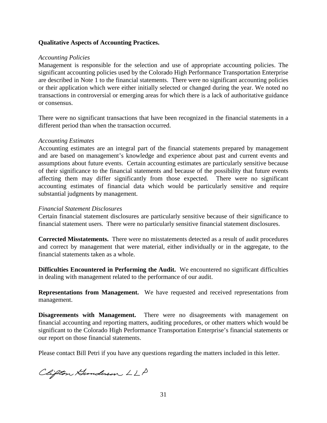#### **Qualitative Aspects of Accounting Practices.**

#### *Accounting Policies*

Management is responsible for the selection and use of appropriate accounting policies. The significant accounting policies used by the Colorado High Performance Transportation Enterprise are described in Note 1 to the financial statements. There were no significant accounting policies or their application which were either initially selected or changed during the year. We noted no transactions in controversial or emerging areas for which there is a lack of authoritative guidance or consensus.

There were no significant transactions that have been recognized in the financial statements in a different period than when the transaction occurred.

#### *Accounting Estimates*

Accounting estimates are an integral part of the financial statements prepared by management and are based on management's knowledge and experience about past and current events and assumptions about future events. Certain accounting estimates are particularly sensitive because of their significance to the financial statements and because of the possibility that future events affecting them may differ significantly from those expected. There were no significant accounting estimates of financial data which would be particularly sensitive and require substantial judgments by management.

#### *Financial Statement Disclosures*

Certain financial statement disclosures are particularly sensitive because of their significance to financial statement users. There were no particularly sensitive financial statement disclosures.

**Corrected Misstatements.** There were no misstatements detected as a result of audit procedures and correct by management that were material, either individually or in the aggregate, to the financial statements taken as a whole.

**Difficulties Encountered in Performing the Audit.** We encountered no significant difficulties in dealing with management related to the performance of our audit.

**Representations from Management.** We have requested and received representations from management.

**Disagreements with Management.** There were no disagreements with management on financial accounting and reporting matters, auditing procedures, or other matters which would be significant to the Colorado High Performance Transportation Enterprise's financial statements or our report on those financial statements.

Please contact Bill Petri if you have any questions regarding the matters included in this letter.

Clifton Hunderson LLP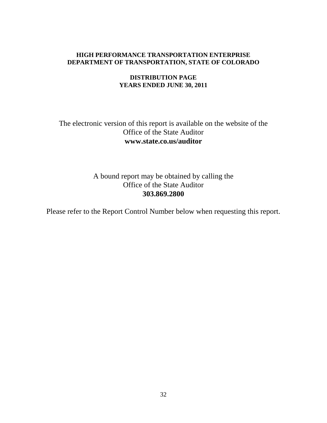#### **HIGH PERFORMANCE TRANSPORTATION ENTERPRISE DEPARTMENT OF TRANSPORTATION, STATE OF COLORADO**

#### **DISTRIBUTION PAGE YEARS ENDED JUNE 30, 2011**

### The electronic version of this report is available on the website of the Office of the State Auditor **www.state.co.us/auditor**

A bound report may be obtained by calling the Office of the State Auditor **303.869.2800**

Please refer to the Report Control Number below when requesting this report.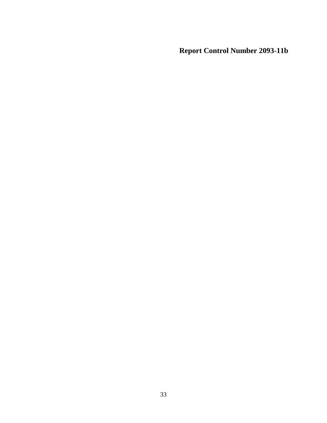**Report Control Number 2093-11b**